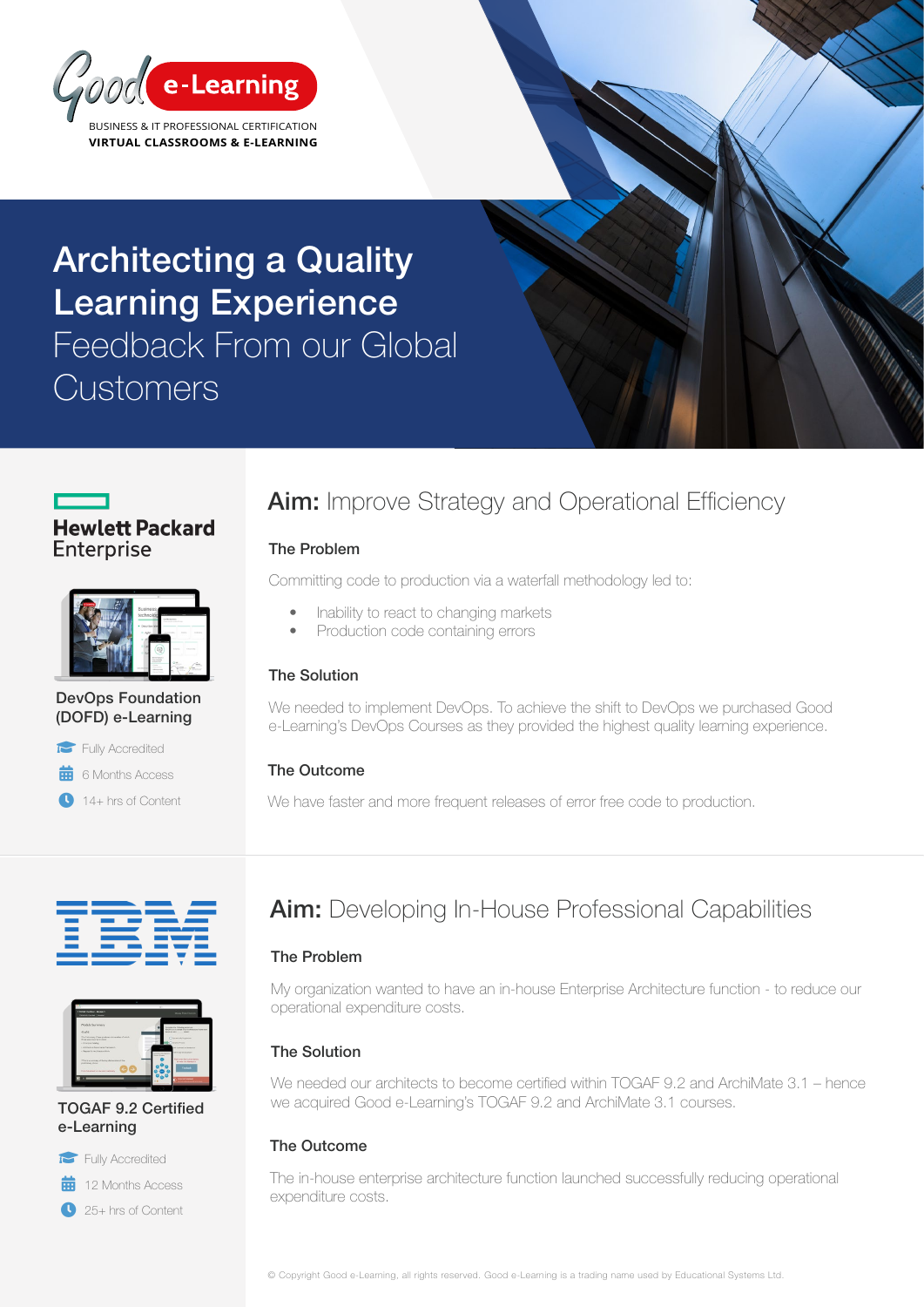

# Architecting a Quality Learning Experience Feedback From our Global **Customers**



| n                                                                                                                                                       |
|---------------------------------------------------------------------------------------------------------------------------------------------------------|
| <b>Business</b><br>technolog<br><b>Grifold Australia</b><br>.<br>· Describe fale<br>D. Agle<br><b>STATISTICS</b>                                        |
| 89<br>Total and<br><b>Sandy Corp.</b><br>Browledge 7<br>Geography<br><b>Telesting</b><br>a hop from<br>÷<br><b>CARD CARDS</b><br>œ<br><b>Contractor</b> |

#### DevOps Foundation (DOFD) e-Learning



 $\frac{1}{100}$  6 Months Access

**14+ hrs of Content** 

# **Aim:** Improve Strategy and Operational Efficiency

### The Problem

Committing code to production via a waterfall methodology led to:

- Inability to react to changing markets
- Production code containing errors

#### The Solution

We needed to implement DevOps. To achieve the shift to DevOps we purchased Good e-Learning's DevOps Courses as they provided the highest quality learning experience.

#### The Outcome

We have faster and more frequent releases of error free code to production.





#### TOGAF 9.2 Certified e-Learning



 $\frac{1}{12}$  12 Months Access

<sup>25+</sup> hrs of Content

## Aim: Developing In-House Professional Capabilities

#### The Problem

My organization wanted to have an in-house Enterprise Architecture function - to reduce our operational expenditure costs.

### The Solution

We needed our architects to become certified within TOGAF 9.2 and ArchiMate 3.1 – hence we acquired Good e-Learning's TOGAF 9.2 and ArchiMate 3.1 courses.

### The Outcome

The in-house enterprise architecture function launched successfully reducing operational expenditure costs.